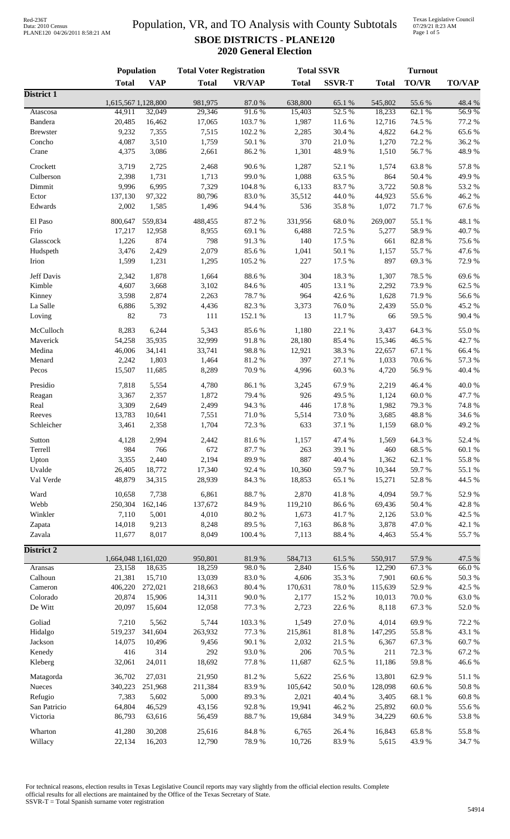#### Population, VR, and TO Analysis with County Subtotals **SBOE DISTRICTS - PLANE120 2020 General Election**

Texas Legislative Council 07/29/21 8:23 AM Page 1 of 5

|                   | Population                    |            | <b>Total Voter Registration</b> |                |                   | <b>Total SSVR</b> | <b>Turnout</b>    |                |                 |
|-------------------|-------------------------------|------------|---------------------------------|----------------|-------------------|-------------------|-------------------|----------------|-----------------|
|                   | <b>Total</b>                  | <b>VAP</b> | <b>Total</b>                    | <b>VR/VAP</b>  | <b>Total</b>      | <b>SSVR-T</b>     | <b>Total</b>      | <b>TO/VR</b>   | <b>TO/VAP</b>   |
| District 1        |                               |            |                                 |                |                   |                   |                   |                |                 |
| Atascosa          | 1,615,567 1,128,800<br>44,911 | 32,049     | 981,975<br>29,346               | 87.0%<br>91.6% | 638,800<br>15,403 | 65.1 %<br>52.5%   | 545,802<br>18,233 | 55.6%<br>62.1% | 48.4 %<br>56.9% |
| Bandera           | 20,485                        | 16,462     | 17,065                          | 103.7%         | 1,987             | 11.6%             | 12,716            | 74.5 %         | 77.2 %          |
| <b>Brewster</b>   | 9,232                         | 7,355      | 7,515                           | 102.2%         | 2,285             | 30.4 %            | 4,822             | 64.2%          | 65.6%           |
| Concho            | 4,087                         | 3,510      | 1,759                           | 50.1 %         | 370               | 21.0%             | 1,270             | 72.2 %         | 36.2%           |
| Crane             | 4,375                         | 3,086      | 2,661                           | 86.2%          | 1,301             | 48.9%             | 1,510             | 56.7%          | 48.9%           |
|                   |                               |            |                                 |                |                   |                   |                   |                |                 |
| Crockett          | 3,719                         | 2,725      | 2,468                           | 90.6%          | 1,287             | 52.1 %            | 1,574             | 63.8%          | 57.8%           |
| Culberson         | 2,398                         | 1,731      | 1,713                           | 99.0%          | 1,088             | 63.5%             | 864               | 50.4 %         | 49.9%           |
| Dimmit            | 9,996                         | 6,995      | 7,329                           | 104.8 %        | 6,133             | 83.7%             | 3,722             | 50.8%          | 53.2 %          |
| Ector             | 137,130                       | 97,322     | 80,796                          | 83.0%          | 35,512            | 44.0%             | 44,923            | 55.6%          | 46.2%           |
| Edwards           | 2,002                         | 1,585      | 1,496                           | 94.4 %         | 536               | 35.8%             | 1,072             | 71.7%          | 67.6%           |
| El Paso           | 800,647                       | 559,834    | 488,455                         | 87.2%          | 331,956           | 68.0%             | 269,007           | 55.1 %         | 48.1%           |
| Frio              | 17,217                        | 12,958     | 8,955                           | 69.1%          | 6,488             | 72.5 %            | 5,277             | 58.9%          | 40.7%           |
| Glasscock         | 1,226                         | 874        | 798                             | 91.3%          | 140               | 17.5 %            | 661               | 82.8%          | 75.6%           |
| Hudspeth          | 3,476                         | 2,429      | 2,079                           | 85.6%          | 1,041             | 50.1 %            | 1,157             | 55.7%          | 47.6%           |
| Irion             | 1,599                         | 1,231      | 1,295                           | 105.2%         | 227               | 17.5 %            | 897               | 69.3%          | 72.9%           |
|                   |                               |            |                                 |                |                   |                   |                   |                |                 |
| Jeff Davis        | 2,342                         | 1,878      | 1,664                           | 88.6%          | 304               | 18.3%             | 1,307             | 78.5 %         | 69.6%           |
| Kimble            | 4,607                         | 3,668      | 3,102                           | 84.6%          | 405               | 13.1 %            | 2,292             | 73.9%          | 62.5 %          |
| Kinney            | 3,598                         | 2,874      | 2,263                           | 78.7%          | 964               | 42.6%             | 1,628             | 71.9%          | 56.6%           |
| La Salle          | 6,886                         | 5,392      | 4,436                           | 82.3%          | 3,373             | 76.0%             | 2,439             | 55.0%          | 45.2%           |
| Loving            | 82                            | 73         | 111                             | 152.1 %        | 13                | 11.7%             | 66                | 59.5 %         | 90.4%           |
| McCulloch         | 8,283                         | 6,244      | 5,343                           | 85.6%          | 1,180             | 22.1 %            | 3,437             | 64.3%          | 55.0%           |
| Maverick          | 54,258                        | 35,935     | 32,999                          | 91.8%          | 28,180            | 85.4%             | 15,346            | 46.5 %         | 42.7 %          |
| Medina            | 46,006                        | 34,141     | 33,741                          | 98.8%          | 12,921            | 38.3%             | 22,657            | 67.1 %         | 66.4%           |
| Menard            | 2,242                         | 1,803      | 1,464                           | 81.2%          | 397               | 27.1 %            | 1,033             | 70.6%          | 57.3 %          |
| Pecos             | 15,507                        | 11,685     | 8,289                           | 70.9%          | 4,996             | 60.3 %            | 4,720             | 56.9%          | 40.4 %          |
| Presidio          | 7,818                         | 5,554      | 4,780                           | 86.1%          | 3,245             | 67.9%             | 2,219             | 46.4%          | 40.0%           |
|                   | 3,367                         | 2,357      | 1,872                           | 79.4 %         | 926               | 49.5 %            | 1,124             | 60.0%          | 47.7%           |
| Reagan            | 3,309                         | 2,649      | 2,499                           | 94.3%          | 446               | 17.8 %            | 1,982             | 79.3%          | 74.8%           |
| Real<br>Reeves    |                               | 10,641     | 7,551                           | 71.0%          |                   | 73.0%             |                   | 48.8%          | 34.6%           |
|                   | 13,783                        |            |                                 |                | 5,514             |                   | 3,685             |                |                 |
| Schleicher        | 3,461                         | 2,358      | 1,704                           | 72.3 %         | 633               | 37.1 %            | 1,159             | 68.0%          | 49.2%           |
| Sutton            | 4,128                         | 2,994      | 2,442                           | 81.6%          | 1,157             | 47.4 %            | 1,569             | 64.3 %         | 52.4 %          |
| Terrell           | 984                           | 766        | 672                             | 87.7%          | 263               | 39.1 %            | 460               | 68.5 %         | $60.1~\%$       |
| Upton             | 3,355                         | 2,440      | 2,194                           | 89.9%          | 887               | 40.4 %            | 1,362             | 62.1 %         | 55.8%           |
| Uvalde            | 26,405                        | 18,772     | 17,340                          | 92.4%          | 10,360            | 59.7%             | 10,344            | 59.7%          | 55.1 %          |
| Val Verde         | 48,879                        | 34,315     | 28,939                          | 84.3%          | 18,853            | 65.1%             | 15,271            | 52.8%          | 44.5 %          |
| Ward              | 10,658                        | 7,738      | 6,861                           | 88.7%          | 2,870             | 41.8%             | 4,094             | 59.7%          | 52.9%           |
| Webb              | 250,304                       | 162,146    | 137,672                         | 84.9%          | 119,210           | 86.6%             | 69,436            | 50.4 %         | 42.8 %          |
| Winkler           | 7,110                         | 5,001      | 4,010                           | 80.2%          | 1,673             | 41.7%             | 2,126             | 53.0%          | 42.5 %          |
| Zapata            | 14,018                        | 9,213      | 8,248                           | 89.5%          | 7,163             | 86.8%             | 3,878             | 47.0%          | 42.1 %          |
| Zavala            | 11,677                        | 8,017      | 8,049                           | 100.4 %        | 7,113             | 88.4%             | 4,463             | 55.4 %         | 55.7%           |
|                   |                               |            |                                 |                |                   |                   |                   |                |                 |
| <b>District 2</b> |                               |            |                                 |                |                   |                   |                   |                |                 |
| Aransas           | 1,664,048 1,161,020<br>23,158 | 18,635     | 950,801<br>18,259               | 81.9%<br>98.0% | 584,713<br>2,840  | 61.5%<br>15.6%    | 550,917<br>12,290 | 57.9%<br>67.3% | 47.5 %<br>66.0% |
| Calhoun           | 21,381                        | 15,710     | 13,039                          | 83.0%          | 4,606             | 35.3%             | 7,901             | 60.6%          | 50.3 %          |
| Cameron           | 406,220                       | 272,021    | 218,663                         | $80.4~\%$      | 170,631           | 78.0%             | 115,639           | 52.9%          | 42.5 %          |
| Colorado          | 20,874                        | 15,906     | 14,311                          | 90.0%          | 2,177             | 15.2%             | 10,013            | 70.0%          | 63.0%           |
| De Witt           | 20,097                        | 15,604     | 12,058                          | 77.3 %         | 2,723             | 22.6%             | 8,118             | 67.3%          | 52.0%           |
|                   |                               |            |                                 |                |                   |                   |                   |                |                 |
| Goliad            | 7,210                         | 5,562      | 5,744                           | 103.3 %        | 1,549             | 27.0%             | 4,014             | 69.9%          | 72.2 %          |
| Hidalgo           | 519,237                       | 341,604    | 263,932                         | 77.3 %         | 215,861           | 81.8 %            | 147,295           | 55.8 %         | 43.1 %          |
| Jackson           | 14,075                        | 10,496     | 9,456                           | 90.1 %         | 2,032             | 21.5 %            | 6,367             | 67.3 %         | 60.7%           |
| Kenedy            | 416                           | 314        | 292                             | 93.0%          | 206               | 70.5 %            | 211               | 72.3 %         | 67.2%           |
| Kleberg           | 32,061                        | 24,011     | 18,692                          | 77.8 %         | 11,687            | 62.5 %            | 11,186            | 59.8%          | 46.6%           |
| Matagorda         | 36,702                        | 27,031     | 21,950                          | 81.2%          | 5,622             | 25.6 %            | 13,801            | 62.9%          | 51.1 %          |
| Nueces            | 340,223                       | 251,968    | 211,384                         | 83.9%          | 105,642           | $50.0\;\%$        | 128,098           | 60.6%          | $50.8~\%$       |
| Refugio           | 7,383                         | 5,602      | 5,000                           | 89.3%          | 2,021             | 40.4 %            | 3,405             | 68.1 %         | $60.8~\%$       |
| San Patricio      | 64,804                        | 46,529     | 43,156                          | 92.8%          | 19,941            | 46.2%             | 25,892            | $60.0~\%$      | 55.6%           |
| Victoria          | 86,793                        | 63,616     | 56,459                          | 88.7%          | 19,684            | 34.9%             | 34,229            | 60.6%          | 53.8%           |
|                   |                               |            |                                 |                |                   |                   |                   |                |                 |
| Wharton           | 41,280                        | 30,208     | 25,616                          | 84.8 %         | 6,765             | 26.4%             | 16,843            | 65.8%          | 55.8%           |
| Willacy           | 22,134                        | 16,203     | 12,790                          | 78.9%          | 10,726            | 83.9%             | 5,615             | 43.9%          | 34.7 %          |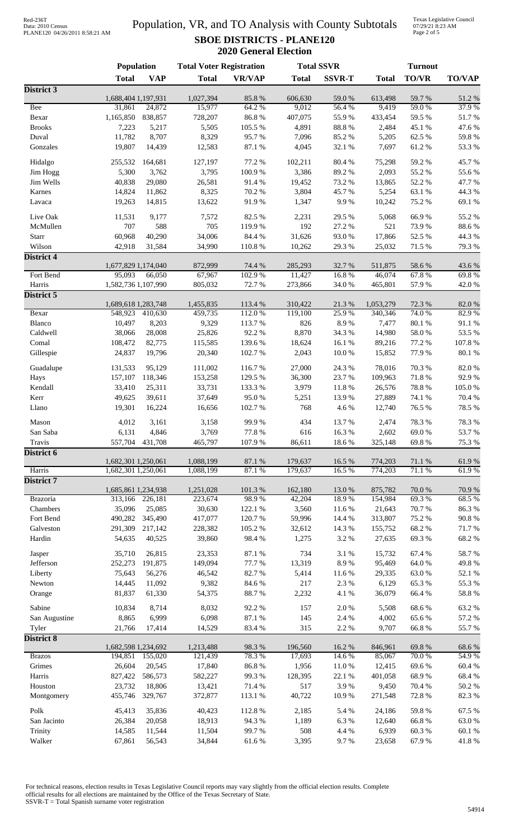## Data: 2010 Census PLANE120 04/26/2011 8:58:21 AM

#### Population, VR, and TO Analysis with County Subtotals **SBOE DISTRICTS - PLANE120 2020 General Election**

Texas Legislative Council 07/29/21 8:23 AM Page 2 of 5

|                         | Population          |                   | <b>Total Voter Registration</b> |                  |                  | <b>Total SSVR</b> |                  | <b>Turnout</b>   |                    |
|-------------------------|---------------------|-------------------|---------------------------------|------------------|------------------|-------------------|------------------|------------------|--------------------|
|                         | <b>Total</b>        | <b>VAP</b>        | <b>Total</b>                    | <b>VR/VAP</b>    | <b>Total</b>     | <b>SSVR-T</b>     | <b>Total</b>     | <b>TO/VR</b>     | <b>TO/VAP</b>      |
| District 3              |                     |                   |                                 |                  |                  |                   |                  |                  |                    |
|                         | 1,688,404 1,197,931 |                   | 1,027,394                       | 85.8%            | 606,630          | 59.0%             | 613,498          | 59.7%            | 51.2%              |
| Bee<br>Bexar            | 31,861<br>1,165,850 | 24,872<br>838,857 | 15,977<br>728,207               | 64.2 %<br>86.8%  | 9,012<br>407,075 | 56.4%<br>55.9%    | 9,419<br>433,454 | 59.0%<br>59.5 %  | 37.9%<br>51.7%     |
| <b>Brooks</b>           | 7,223               | 5,217             | 5,505                           | 105.5 %          | 4,891            | 88.8%             | 2,484            | 45.1 %           | 47.6 %             |
| Duval                   | 11,782              | 8,707             | 8,329                           | 95.7%            | 7,096            | 85.2%             | 5,205            | 62.5 %           | 59.8%              |
| Gonzales                | 19,807              | 14,439            | 12,583                          | 87.1 %           | 4,045            | 32.1 %            | 7,697            | 61.2%            | 53.3 %             |
|                         |                     |                   |                                 |                  |                  |                   |                  |                  |                    |
| Hidalgo                 | 255,532             | 164,681           | 127,197                         | 77.2 %           | 102,211          | 80.4%             | 75,298           | 59.2 %           | 45.7%              |
| Jim Hogg<br>Jim Wells   | 5,300<br>40,838     | 3,762<br>29,080   | 3,795<br>26,581                 | 100.9%<br>91.4%  | 3,386            | 89.2%<br>73.2 %   | 2,093            | 55.2 %           | 55.6%<br>47.7%     |
| Karnes                  | 14,824              | 11,862            | 8,325                           | 70.2 %           | 19,452<br>3,804  | 45.7%             | 13,865<br>5,254  | 52.2 %<br>63.1 % | 44.3 %             |
| Lavaca                  | 19,263              | 14,815            | 13,622                          | 91.9%            | 1,347            | 9.9%              | 10,242           | 75.2 %           | 69.1 %             |
|                         |                     |                   |                                 |                  |                  |                   |                  |                  |                    |
| Live Oak                | 11,531              | 9,177             | 7,572                           | 82.5 %           | 2,231            | 29.5 %            | 5,068            | 66.9%            | 55.2 %             |
| McMullen                | 707<br>60,968       | 588               | 705                             | 119.9%<br>84.4 % | 192              | 27.2 %<br>93.0%   | 521              | 73.9%            | 88.6 %<br>44.3 %   |
| Starr<br>Wilson         | 42,918              | 40,290<br>31,584  | 34,006<br>34,990                | 110.8%           | 31,626<br>10,262 | 29.3%             | 17,866<br>25,032 | 52.5 %<br>71.5 % | 79.3 %             |
| <b>District 4</b>       |                     |                   |                                 |                  |                  |                   |                  |                  |                    |
|                         | 1,677,829 1,174,040 |                   | 872,999                         | 74.4 %           | 285,293          | 32.7 %            | 511,875          | 58.6%            | 43.6%              |
| Fort Bend               | 95,093              | 66,050            | 67,967                          | 102.9%           | 11,427           | 16.8%             | 46,074           | 67.8%            | 69.8%              |
| Harris                  | 1,582,736 1,107,990 |                   | 805,032                         | 72.7%            | 273,866          | 34.0%             | 465,801          | 57.9%            | 42.0 %             |
| District 5              |                     |                   |                                 |                  |                  |                   |                  |                  |                    |
|                         | 1,689,618 1,283,748 |                   | 1,455,835                       | 113.4 %          | 310,422          | 21.3%             | 1,053,279        | 72.3 %           | 82.0%              |
| Bexar                   |                     | 548,923 410,630   | 459,735                         | 112.0 %          | 119,100          | 25.9%             | 340,346          | 74.0%            | 82.9%              |
| Blanco                  | 10,497              | 8,203<br>28,008   | 9,329<br>25,826                 | 113.7%<br>92.2%  | 826              | 8.9%<br>34.3 %    | 7,477            | 80.1%            | 91.1 %<br>53.5 %   |
| Caldwell<br>Comal       | 38,066<br>108,472   | 82,775            | 115,585                         | 139.6%           | 8,870<br>18,624  | 16.1%             | 14,980<br>89,216 | 58.0%<br>77.2 %  | 107.8 %            |
| Gillespie               | 24,837              | 19,796            | 20,340                          | 102.7 %          | 2,043            | 10.0%             | 15,852           | 77.9%            | $80.1~\%$          |
|                         |                     |                   |                                 |                  |                  |                   |                  |                  |                    |
| Guadalupe               | 131,533             | 95,129            | 111,002                         | 116.7%           | 27,000           | 24.3 %            | 78,016           | 70.3 %           | 82.0%              |
| Hays                    | 157,107             | 118,346           | 153,258                         | 129.5 %          | 36,300           | 23.7%             | 109,963          | 71.8%            | 92.9%              |
| Kendall                 | 33,410              | 25,311            | 33,731                          | 133.3 %          | 3,979            | 11.8%             | 26,576           | 78.8 %           | 105.0%             |
| Kerr<br>Llano           | 49,625<br>19,301    | 39,611<br>16,224  | 37,649<br>16,656                | 95.0%<br>102.7 % | 5,251<br>768     | 13.9%<br>4.6 %    | 27,889<br>12,740 | 74.1 %<br>76.5 % | 70.4 %<br>78.5 %   |
|                         |                     |                   |                                 |                  |                  |                   |                  |                  |                    |
| Mason                   | 4,012               | 3,161             | 3,158                           | 99.9%            | 434              | 13.7 %            | 2,474            | 78.3%            | 78.3%              |
| San Saba                | 6,131               | 4,846             | 3,769                           | 77.8 %           | 616              | 16.3%             | 2,602            | 69.0%            | 53.7%              |
| Travis                  |                     | 557,704 431,708   | 465,797                         | 107.9%           | 86,611           | 18.6%             | 325,148          | 69.8%            | 75.3 %             |
| District 6              | 1,682,301 1,250,061 |                   | 1,088,199                       | 87.1 %           | 179,637          | 16.5 %            | 774,203          | 71.1 %           | 61.9%              |
| Harris                  | 1,682,301 1,250,061 |                   | 1,088,199                       | 87.1 %           | 179,637          | 16.5%             | 774,203          | 71.1 %           | 61.9%              |
| District 7              |                     |                   |                                 |                  |                  |                   |                  |                  |                    |
|                         | 1,685,861 1,234,938 |                   | 1,251,028                       | 101.3%           | 162,180          | 13.0 %            | 875,782          | 70.0%            | 70.9%              |
| Brazoria                | 313,166             | 226,181           | 223,674                         | 98.9%            | 42,204           | 18.9%             | 154,984          | 69.3%            | 68.5 %             |
| Chambers                | 35,096              | 25,085            | 30,630                          | 122.1 %          | 3,560            | 11.6%             | 21,643           | 70.7%            | 86.3%              |
| Fort Bend               | 490,282             | 345,490           | 417,077                         | 120.7%           | 59,996           | 14.4 %            | 313,807          | 75.2 %           | 90.8 %             |
| Galveston               | 291,309             | 217,142           | 228,382                         | 105.2%           | 32,612           | 14.3 %            | 155,752          | 68.2%            | 71.7%              |
| Hardin                  | 54,635              | 40,525            | 39,860                          | 98.4%            | 1,275            | 3.2 %             | 27,635           | 69.3%            | 68.2%              |
| Jasper                  | 35,710              | 26,815            | 23,353                          | 87.1 %           | 734              | 3.1 %             | 15,732           | 67.4 %           | 58.7%              |
| Jefferson               | 252,273             | 191,875           | 149,094                         | 77.7 %           | 13,319           | 8.9%              | 95,469           | 64.0%            | 49.8%              |
| Liberty                 | 75,643              | 56,276            | 46,542                          | 82.7%            | 5,414            | 11.6%             | 29,335           | 63.0%            | 52.1 %             |
| Newton                  | 14,445              | 11,092            | 9,382                           | 84.6 %           | 217              | 2.3 %             | 6,129            | 65.3%            | 55.3 %             |
| Orange                  | 81,837              | 61,330            | 54,375                          | 88.7%            | 2,232            | 4.1 %             | 36,079           | 66.4%            | 58.8 %             |
| Sabine                  | 10,834              | 8,714             | 8,032                           | 92.2%            | 157              | 2.0%              | 5,508            | 68.6%            | 63.2%              |
| San Augustine           | 8,865               | 6,999             | 6,098                           | 87.1 %           | 145              | 2.4 %             | 4,002            | 65.6%            | 57.2 %             |
| Tyler                   | 21,766              | 17,414            | 14,529                          | 83.4%            | 315              | 2.2 %             | 9,707            | 66.8%            | 55.7%              |
| <b>District 8</b>       |                     |                   |                                 |                  |                  |                   |                  |                  |                    |
|                         | 1,682,598 1,234,692 |                   | 1,213,488<br>121,439            | 98.3%<br>78.3%   | 196,560          | 16.2%             | 846,961          | 69.8%<br>70.0%   | 68.6%<br>54.9%     |
| <b>Brazos</b><br>Grimes | 194,851<br>26,604   | 155,020<br>20,545 | 17,840                          | $86.8\ \%$       | 17,693<br>1,956  | 14.6 %<br>11.0%   | 85,067<br>12,415 | 69.6%            | 60.4 %             |
| Harris                  | 827,422             | 586,573           | 582,227                         | 99.3%            | 128,395          | 22.1 %            | 401,058          | 68.9%            | 68.4%              |
| Houston                 | 23,732              | 18,806            | 13,421                          | 71.4 %           | 517              | 3.9%              | 9,450            | 70.4 %           | $50.2~\%$          |
| Montgomery              | 455,746             | 329,767           | 372,877                         | 113.1 %          | 40,722           | 10.9%             | 271,548          | 72.8%            | 82.3%              |
|                         |                     |                   |                                 |                  |                  |                   |                  |                  |                    |
| Polk                    | 45,413              | 35,836            | 40,423                          | 112.8%           | 2,185            | 5.4 %             | 24,186           | 59.8%<br>66.8%   | 67.5 %             |
| San Jacinto<br>Trinity  | 26,384<br>14,585    | 20,058<br>11,544  | 18,913<br>11,504                | 94.3%<br>99.7%   | 1,189<br>508     | 6.3%<br>4.4 %     | 12,640<br>6,939  | 60.3%            | 63.0%<br>$60.1~\%$ |
| Walker                  | 67,861              | 56,543            | 34,844                          | 61.6%            | 3,395            | 9.7%              | 23,658           | 67.9%            | 41.8%              |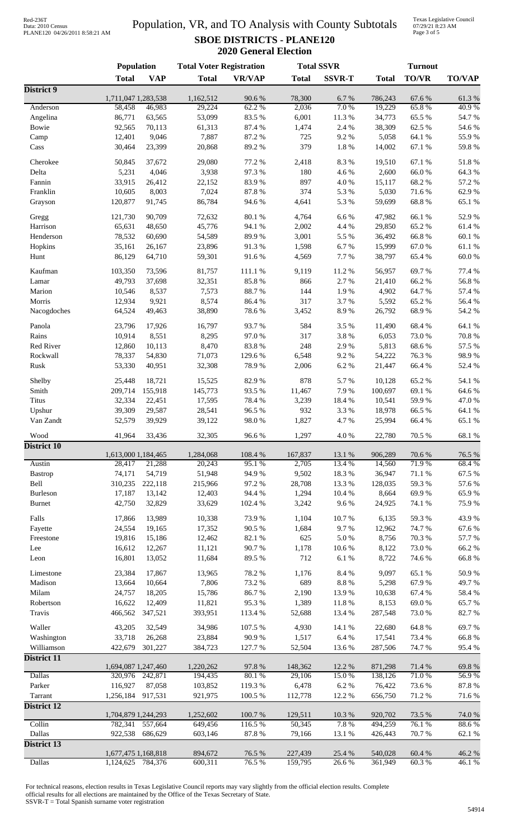## Data: 2010 Census PLANE120 04/26/2011 8:58:21 AM

#### Population, VR, and TO Analysis with County Subtotals **SBOE DISTRICTS - PLANE120 2020 General Election**

Texas Legislative Council 07/29/21 8:23 AM Page 3 of 5

|                            | Population          |                | <b>Total Voter Registration</b> |                  | <b>Total SSVR</b>   |               | <b>Turnout</b>  |                |                 |  |
|----------------------------|---------------------|----------------|---------------------------------|------------------|---------------------|---------------|-----------------|----------------|-----------------|--|
|                            | <b>Total</b>        | <b>VAP</b>     | <b>Total</b>                    | <b>VR/VAP</b>    | <b>Total</b>        | <b>SSVR-T</b> | <b>Total</b>    | <b>TO/VR</b>   | <b>TO/VAP</b>   |  |
| District 9                 |                     |                |                                 |                  |                     |               |                 |                |                 |  |
|                            | 1,711,047 1,283,538 |                | 1,162,512                       | 90.6%            | 78,300              | 6.7%          | 786,243         | 67.6%          | 61.3%           |  |
| Anderson                   | 58,458              | 46,983         | 29,224                          | 62.2 %           | 2,036               | 7.0%          | 19,229          | 65.8%          | 40.9%           |  |
| Angelina                   | 86,771              | 63,565         | 53,099                          | 83.5%            | 6,001               | 11.3 %        | 34,773          | 65.5%          | 54.7%           |  |
| Bowie                      | 92,565              | 70,113         | 61,313                          | 87.4 %           | 1,474               | 2.4 %         | 38,309          | 62.5 %         | 54.6 %          |  |
| Camp                       | 12,401              | 9,046          | 7,887                           | 87.2 %           | 725                 | 9.2%          | 5,058           | 64.1 %         | 55.9%           |  |
| Cass                       | 30,464              | 23,399         | 20,868                          | 89.2%            | 379                 | 1.8 %         | 14,002          | 67.1 %         | 59.8%           |  |
| Cherokee                   | 50,845              | 37,672         | 29,080                          | 77.2 %           | 2,418               | 8.3%          | 19,510          | 67.1 %         | 51.8%           |  |
| Delta                      | 5,231               | 4,046          | 3,938                           | 97.3%            | 180                 | 4.6%          | 2,600           | 66.0%          | 64.3 %          |  |
| Fannin                     | 33,915              | 26,412         | 22,152                          | 83.9%            | 897                 | 4.0%          | 15,117          | 68.2%          | 57.2 %          |  |
| Franklin                   | 10,605              | 8,003          | 7,024                           | 87.8 %           | 374                 | 5.3 %         | 5,030           | 71.6%          | 62.9%           |  |
| Grayson                    | 120,877             | 91,745         | 86,784                          | 94.6%            | 4,641               | 5.3 %         | 59,699          | 68.8%          | 65.1 %          |  |
| Gregg                      | 121,730             | 90,709         | 72,632                          | 80.1 %           | 4,764               | 6.6%          | 47,982          | 66.1%          | 52.9%           |  |
| Harrison                   | 65,631              | 48,650         | 45,776                          | 94.1 %           | 2,002               | 4.4 %         | 29,850          | 65.2%          | 61.4%           |  |
| Henderson                  | 78,532              | 60,690         | 54,589                          | 89.9%            | 3,001               | 5.5 %         | 36,492          | 66.8%          | 60.1%           |  |
| Hopkins                    | 35,161              | 26,167         | 23,896                          | 91.3%            | 1,598               | 6.7%          | 15,999          | 67.0%          | 61.1%           |  |
| Hunt                       | 86,129              | 64,710         | 59,301                          | 91.6%            | 4,569               | 7.7 %         | 38,797          | 65.4%          | $60.0~\%$       |  |
|                            |                     |                |                                 |                  |                     |               |                 | 69.7%          | 77.4 %          |  |
| Kaufman                    | 103,350             | 73,596         | 81,757                          | 111.1 %<br>85.8% | 9,119<br>866        | 11.2%         | 56,957          |                |                 |  |
| Lamar                      | 49,793              | 37,698         | 32,351<br>7,573                 |                  | 144                 | 2.7%          | 21,410          | 66.2%          | 56.8%<br>57.4 % |  |
| Marion<br>Morris           | 10,546              | 8,537<br>9,921 | 8,574                           | 88.7%<br>86.4%   | 317                 | 1.9%<br>3.7%  | 4,902           | 64.7%          | 56.4%           |  |
|                            | 12,934              | 49,463         |                                 | 78.6%            |                     | 8.9%          | 5,592<br>26,792 | 65.2%<br>68.9% |                 |  |
| Nacogdoches                | 64,524              |                | 38,890                          |                  | 3,452               |               |                 |                | 54.2 %          |  |
| Panola                     | 23,796              | 17,926         | 16,797                          | 93.7%            | 584                 | 3.5%          | 11,490          | 68.4%          | 64.1 %          |  |
| Rains                      | 10,914              | 8,551          | 8,295                           | 97.0%            | 317                 | 3.8 %         | 6,053           | 73.0%          | 70.8%           |  |
| Red River                  | 12,860              | 10,113         | 8,470                           | 83.8%            | 248                 | 2.9%          | 5,813           | 68.6%          | 57.5 %          |  |
| Rockwall                   | 78,337              | 54,830         | 71,073                          | 129.6%           | 6,548               | 9.2%          | 54,222          | 76.3%          | 98.9%           |  |
| Rusk                       | 53,330              | 40,951         | 32,308                          | 78.9%            | 2,006               | 6.2%          | 21,447          | 66.4%          | 52.4 %          |  |
| Shelby                     | 25,448              | 18,721         | 15,525                          | 82.9%            | 878                 | 5.7%          | 10,128          | 65.2%          | 54.1 %          |  |
| Smith                      | 209,714             | 155,918        | 145,773                         | 93.5%            | 11,467              | 7.9%          | 100,697         | 69.1%          | 64.6%           |  |
| <b>Titus</b>               | 32,334              | 22,451         | 17,595                          | 78.4%            | 3,239               | 18.4%         | 10,541          | 59.9%          | 47.0%           |  |
| Upshur                     | 39,309              | 29,587         | 28,541                          | 96.5%            | 932                 | 3.3 %         | 18,978          | 66.5%          | 64.1 %          |  |
| Van Zandt                  | 52,579              | 39,929         | 39,122                          | 98.0%            | 1,827               | 4.7%          | 25,994          | 66.4%          | 65.1%           |  |
|                            |                     |                |                                 |                  |                     |               |                 |                |                 |  |
| Wood<br><b>District 10</b> | 41,964              | 33,436         | 32,305                          | 96.6%            | 1,297               | $4.0\ \%$     | 22,780          | 70.5 %         | 68.1 %          |  |
|                            | 1,613,000 1,184,465 |                | 1,284,068                       | 108.4%           | 167,837             | 13.1 %        | 906,289         | 70.6%          | 76.5 %          |  |
| Austin                     | 28,417              | 21,288         | 20,243                          | 95.1%            | 2,705               | 13.4 %        | 14,560          | 71.9%          | 68.4%           |  |
| <b>Bastrop</b>             | 74,171              | 54,719         | 51,948                          | 94.9%            | 9,502               | 18.3%         | 36,947          | 71.1%          | 67.5 %          |  |
| Bell                       | 310,235             | 222,118        | 215,966                         | 97.2 %           | 28,708              | 13.3 %        | 128,035         | 59.3%          | 57.6 %          |  |
| <b>Burleson</b>            | 17,187              | 13,142         | 12,403                          | 94.4 %           | 1,294               | 10.4 %        | 8,664           | 69.9%          | 65.9%           |  |
| <b>Burnet</b>              | 42,750              | 32,829         | 33,629                          | 102.4 %          | 3,242               | 9.6%          | 24,925          | 74.1 %         | 75.9%           |  |
| Falls                      | 17,866              | 13,989         | 10,338                          | 73.9%            | 1,104               | 10.7%         | 6,135           | 59.3%          | 43.9%           |  |
| Fayette                    | 24,554              | 19,165         | 17,352                          | 90.5 %           | 1,684               | 9.7%          | 12,962          | 74.7%          | 67.6 %          |  |
|                            | 19,816              | 15,186         | 12,462                          | 82.1 %           | 625                 | $5.0\ \%$     | 8,756           | 70.3 %         | 57.7 %          |  |
| Freestone                  |                     | 12,267         | 11,121                          | 90.7%            | 1,178               | $10.6~\%$     | 8,122           | 73.0%          | 66.2%           |  |
| Lee                        | 16,612<br>16,801    | 13,052         | 11,684                          | 89.5%            | 712                 | $6.1~\%$      | 8,722           | 74.6%          | 66.8%           |  |
| Leon                       |                     |                |                                 |                  |                     |               |                 |                |                 |  |
| Limestone                  | 23,384              | 17,867         | 13,965                          | 78.2 %           | 1,176               | 8.4 %         | 9,097           | 65.1%          | 50.9%           |  |
| Madison                    | 13,664              | 10,664         | 7,806                           | 73.2 %           | 689                 | $8.8\ \%$     | 5,298           | 67.9%          | 49.7%           |  |
| Milam                      | 24,757              | 18,205         | 15,786                          | 86.7%            | 2,190               | 13.9%         | 10,638          | 67.4 %         | 58.4 %          |  |
| Robertson                  | 16,622              | 12,409         | 11,821                          | 95.3%            | 1,389               | $11.8\ \%$    | 8,153           | 69.0%          | 65.7%           |  |
| Travis                     | 466,562             | 347,521        | 393,951                         | 113.4 %          | 52,688              | 13.4 %        | 287,548         | 73.0%          | 82.7%           |  |
| Waller                     | 43,205              | 32,549         | 34,986                          | 107.5 %          | 4,930               | 14.1 %        | 22,680          | 64.8%          | 69.7%           |  |
| Washington                 | 33,718              | 26,268         | 23,884                          | 90.9%            | 1,517               | $6.4~\%$      | 17,541          | 73.4 %         | 66.8%           |  |
| Williamson                 | 422,679             | 301,227        | 384,723                         | 127.7 %          | 52,504              | 13.6 %        | 287,506         | 74.7%          | 95.4%           |  |
| District 11                |                     |                |                                 |                  |                     |               |                 |                |                 |  |
|                            | 1,694,087 1,247,460 |                | 1,220,262                       | 97.8%            | 148,362             | 12.2 %        | 871,298         | 71.4 %         | 69.8%           |  |
| <b>Dallas</b>              | 320,976             | 242,871        | 194,435                         | 80.1%            | 29,106              | 15.0%         | 138,126         | 71.0%          | 56.9%           |  |
| Parker                     | 116,927             | 87,058         | 103,852                         | 119.3%           | 6,478               | 6.2%          | 76,422          | 73.6%          | 87.8%           |  |
| Tarrant                    | 1,256,184           | 917,531        | 921,975                         | 100.5 %          | 112,778             | 12.2 %        | 656,750         | 71.2%          | 71.6%           |  |
| <b>District 12</b>         |                     |                |                                 |                  |                     |               |                 |                |                 |  |
|                            | 1,704,879 1,244,293 |                | 1,252,602                       | 100.7%           | 129,511             | 10.3%         | 920,702         | 73.5 %         | 74.0 %          |  |
| Collin                     | 782,341             | 557,664        | 649,456                         | 116.5%           | $\overline{50,345}$ | 7.8%          | 494,259         | 76.1 %         | 88.6%           |  |
| Dallas                     | 922,538             | 686,629        | 603,146                         | 87.8 %           | 79,166              | 13.1 %        | 426,443         | 70.7%          | 62.1 %          |  |
| <b>District 13</b>         | 1,677,475 1,168,818 |                | 894,672                         | 76.5 %           | 227,439             | 25.4 %        | 540,028         | 60.4 %         | 46.2%           |  |
| <b>Dallas</b>              | 1,124,625           | 784,376        | 600,311                         | 76.5 %           | 159,795             | 26.6%         | 361,949         | 60.3%          | 46.1%           |  |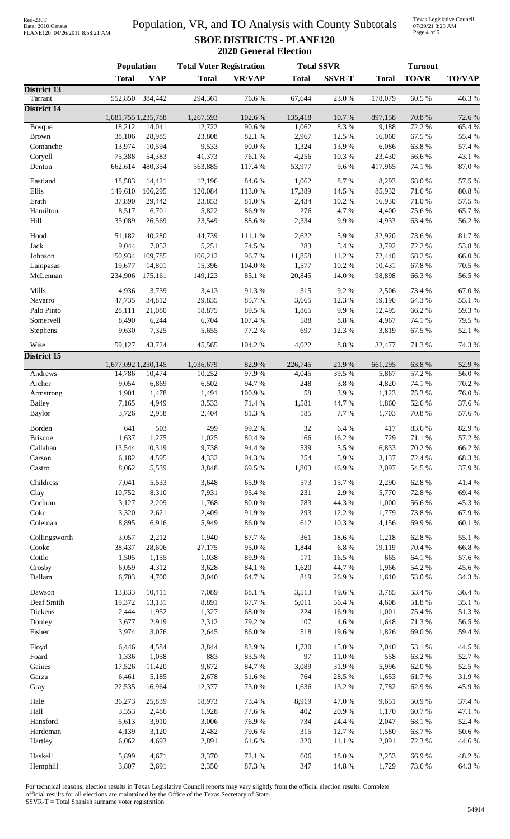# Data: 2010 Census PLANE120 04/26/2011 8:58:21 AM

#### Population, VR, and TO Analysis with County Subtotals **SBOE DISTRICTS - PLANE120 2020 General Election**

Texas Legislative Council 07/29/21 8:23 AM Page 4 of 5

|                          | <b>Population</b>             |                  | <b>Total Voter Registration</b> |                 | <b>Total SSVR</b> |                 | <b>Turnout</b>   |                      |                 |  |
|--------------------------|-------------------------------|------------------|---------------------------------|-----------------|-------------------|-----------------|------------------|----------------------|-----------------|--|
|                          | <b>Total</b>                  | <b>VAP</b>       | <b>Total</b>                    | <b>VR/VAP</b>   | <b>Total</b>      | <b>SSVR-T</b>   | <b>Total</b>     | <b>TO/VR</b>         | <b>TO/VAP</b>   |  |
| District 13              |                               |                  |                                 |                 |                   |                 |                  |                      |                 |  |
| Tarrant                  |                               | 552,850 384,442  | 294,361                         | 76.6%           | 67,644            | 23.0%           | 178,079          | 60.5 %               | 46.3%           |  |
| <b>District 14</b>       | 1,681,755 1,235,788           |                  | 1,267,593                       | 102.6 %         | 135,418           | 10.7%           | 897,158          | 70.8%                | 72.6 %          |  |
| Bosque                   | 18,212                        | 14,041           | 12,722                          | 90.6%           | 1,062             | 8.3%            | 9,188            | 72.2 %               | 65.4 %          |  |
| Brown                    | 38,106                        | 28,985           | 23,808                          | 82.1 %          | 2,967             | 12.5 %          | 16,060           | 67.5 %               | 55.4 %          |  |
| Comanche                 | 13,974                        | 10,594           | 9,533                           | 90.0%           | 1,324             | 13.9%           | 6,086            | 63.8%                | 57.4 %          |  |
| Coryell                  | 75,388                        | 54,383           | 41,373                          | 76.1 %          | 4,256             | 10.3 %          | 23,430           | 56.6%                | 43.1 %          |  |
| Denton                   | 662,614                       | 480,354          | 563,885                         | 117.4 %         | 53,977            | 9.6%            | 417,965          | 74.1 %               | 87.0%           |  |
| Eastland                 | 18,583                        | 14,421           | 12,196                          | 84.6 %          | 1,062             | 8.7%            | 8,293            | 68.0%                | 57.5 %          |  |
| Ellis                    | 149,610                       | 106,295          | 120,084                         | 113.0%          | 17,389            | 14.5 %          | 85,932           | 71.6%                | $80.8~\%$       |  |
| Erath                    | 37,890                        | 29,442           | 23,853                          | $81.0\ \%$      | 2,434             | 10.2%           | 16,930           | 71.0%                | 57.5 %          |  |
| Hamilton                 | 8,517                         | 6,701            | 5,822                           | 86.9%           | 276               | 4.7%            | 4,400            | 75.6%                | 65.7%           |  |
| Hill                     | 35,089                        | 26,569           | 23,549                          | 88.6%           | 2,334             | 9.9%            | 14,933           | 63.4%                | 56.2 %          |  |
| Hood                     | 51,182                        | 40,280           | 44,739                          | 111.1 %         | 2,622             | 5.9%            | 32,920           | 73.6%                | $81.7\ \%$      |  |
| Jack                     | 9,044                         | 7,052            | 5,251                           | 74.5 %          | 283               | 5.4 %           | 3,792            | 72.2 %               | 53.8%           |  |
| Johnson                  | 150,934                       | 109,785          | 106,212                         | 96.7%           | 11,858            | 11.2%           | 72,440           | 68.2%                | 66.0%           |  |
| Lampasas                 | 19,677                        | 14,801           | 15,396                          | 104.0%          | 1,577             | 10.2%           | 10,431           | 67.8%                | 70.5 %          |  |
| McLennan                 | 234,906                       | 175,161          | 149,123                         | 85.1 %          | 20,845            | $14.0\ \%$      | 98,898           | 66.3%                | 56.5 %          |  |
|                          |                               |                  |                                 |                 |                   |                 |                  |                      |                 |  |
| Mills                    | 4,936                         | 3,739            | 3,413                           | 91.3%           | 315               | 9.2%            | 2,506            | 73.4 %<br>64.3%      | $67.0\ \%$      |  |
| Navarro<br>Palo Pinto    | 47,735<br>28,111              | 34,812<br>21,080 | 29,835<br>18,875                | 85.7%<br>89.5%  | 3,665<br>1,865    | 12.3 %<br>9.9%  | 19,196<br>12,495 | 66.2%                | 55.1 %<br>59.3% |  |
| Somervell                | 8,490                         | 6,244            | 6,704                           | 107.4 %         | 588               | $8.8\ \%$       | 4,967            | 74.1 %               | 79.5 %          |  |
| Stephens                 | 9,630                         | 7,325            | 5,655                           | 77.2 %          | 697               | 12.3 %          | 3,819            | 67.5 %               | 52.1 %          |  |
|                          |                               |                  |                                 |                 |                   |                 |                  |                      |                 |  |
| Wise                     | 59,127                        | 43,724           | 45,565                          | 104.2 %         | 4,022             | $8.8\ \%$       | 32,477           | 71.3%                | 74.3 %          |  |
| District 15              |                               |                  |                                 |                 |                   |                 |                  |                      |                 |  |
| Andrews                  | 1,677,092 1,250,145<br>14,786 | 10,474           | 1,036,679<br>10,252             | 82.9%<br>97.9%  | 226,745<br>4,045  | 21.9%<br>39.5 % | 661,295<br>5,867 | 63.8%<br>57.2 %      | 52.9%<br>56.0%  |  |
| Archer                   | 9,054                         | 6,869            | 6,502                           | 94.7%           | 248               | 3.8%            | 4,820            | 74.1 %               | 70.2 %          |  |
| Armstrong                | 1,901                         | 1,478            | 1,491                           | 100.9%          | 58                | 3.9%            | 1,123            | 75.3 %               | 76.0%           |  |
| <b>Bailey</b>            | 7,165                         | 4,949            | 3,533                           | 71.4 %          | 1,581             | 44.7%           | 1,860            | 52.6%                | 37.6%           |  |
| <b>Baylor</b>            | 3,726                         | 2,958            | 2,404                           | 81.3%           | 185               | 7.7 %           | 1,703            | 70.8 %               | 57.6%           |  |
|                          |                               |                  | 499                             |                 |                   |                 |                  |                      |                 |  |
| Borden<br><b>Briscoe</b> | 641<br>1,637                  | 503<br>1,275     | 1,025                           | 99.2%<br>80.4 % | 32<br>166         | 6.4%<br>16.2%   | 417<br>729       | $83.6\;\%$<br>71.1 % | 82.9%<br>57.2 % |  |
| Callahan                 | 13,544                        | 10,319           | 9,738                           | 94.4 %          | 539               | 5.5 %           | 6,833            | 70.2 %               | 66.2%           |  |
| Carson                   | 6,182                         | 4,595            | 4,332                           | 94.3%           | 254               | 5.9%            | 3,137            | 72.4 %               | 68.3%           |  |
| Castro                   | 8,062                         | 5,539            | 3,848                           | 69.5%           | 1,803             | 46.9%           | 2,097            | 54.5 %               | 37.9%           |  |
|                          |                               |                  |                                 |                 |                   |                 |                  |                      |                 |  |
| Childress                | 7,041                         | 5,533            | 3,648                           | 65.9%           | 573               | 15.7%           | 2,290            | 62.8%                | 41.4%           |  |
| Clay                     | 10,752                        | 8,310            | 7,931                           | 95.4%           | 231               | 2.9%            | 5,770            | 72.8%                | 69.4%           |  |
| Cochran                  | 3,127                         | 2,209            | 1,768                           | $80.0\ \%$      | 783               | 44.3 %          | 1,000            | 56.6%                | 45.3%           |  |
| Coke<br>Coleman          | 3,320                         | 2,621<br>6,916   | 2,409                           | 91.9%           | 293               | 12.2 %          | 1,779            | 73.8%<br>69.9%       | 67.9%           |  |
|                          | 8,895                         |                  | 5,949                           | 86.0%           | 612               | 10.3%           | 4,156            |                      | 60.1 %          |  |
| Collingsworth            | 3,057                         | 2,212            | 1,940                           | 87.7%           | 361               | 18.6%           | 1,218            | 62.8%                | 55.1 %          |  |
| Cooke                    | 38,437                        | 28,606           | 27,175                          | 95.0%           | 1,844             | $6.8~\%$        | 19,119           | 70.4 %               | 66.8%           |  |
| Cottle                   | 1,505                         | 1,155            | 1,038                           | 89.9%           | 171               | 16.5 %          | 665              | 64.1 %               | 57.6 %          |  |
| Crosby                   | 6,059                         | 4,312            | 3,628                           | 84.1 %          | 1,620             | 44.7%           | 1,966            | 54.2 %               | 45.6%           |  |
| Dallam                   | 6,703                         | 4,700            | 3,040                           | 64.7%           | 819               | 26.9%           | 1,610            | 53.0 %               | 34.3 %          |  |
| Dawson                   | 13,833                        | 10,411           | 7,089                           | 68.1%           | 3,513             | 49.6%           | 3,785            | 53.4 %               | 36.4 %          |  |
| Deaf Smith               | 19,372                        | 13,131           | 8,891                           | 67.7%           | 5,011             | 56.4 %          | 4,608            | 51.8%                | 35.1 %          |  |
| Dickens                  | 2,444                         | 1,952            | 1,327                           | $68.0\ \%$      | 224               | 16.9%           | 1,001            | 75.4 %               | 51.3%           |  |
| Donley                   | 3,677                         | 2,919            | 2,312                           | 79.2 %          | 107               | 4.6%            | 1,648            | 71.3%                | 56.5 %          |  |
| Fisher                   | 3,974                         | 3,076            | 2,645                           | 86.0%           | 518               | 19.6%           | 1,826            | 69.0%                | 59.4 %          |  |
| Floyd                    | 6,446                         | 4,584            | 3,844                           | 83.9%           | 1,730             | 45.0%           | 2,040            | 53.1 %               | 44.5 %          |  |
| Foard                    | 1,336                         | 1,058            | 883                             | 83.5 %          | 97                | $11.0\ \%$      | 558              | 63.2%                | 52.7%           |  |
| Gaines                   | 17,526                        | 11,420           | 9,672                           | 84.7%           | 3,089             | 31.9%           | 5,996            | 62.0%                | 52.5 %          |  |
| Garza                    | 6,461                         | 5,185            | 2,678                           | 51.6 %          | 764               | 28.5 %          | 1,653            | 61.7%                | 31.9%           |  |
| Gray                     | 22,535                        | 16,964           | 12,377                          | 73.0%           | 1,636             | 13.2 %          | 7,782            | 62.9%                | 45.9%           |  |
|                          |                               |                  |                                 |                 |                   |                 |                  |                      |                 |  |
| Hale                     | 36,273                        | 25,839           | 18,973                          | 73.4 %          | 8,919             | 47.0%           | 9,651            | 50.9%                | 37.4 %          |  |
| Hall                     | 3,353                         | 2,486            | 1,928                           | 77.6%           | 402               | 20.9%           | 1,170            | 60.7%                | 47.1 %          |  |
| Hansford<br>Hardeman     | 5,613                         | 3,910            | 3,006                           | 76.9%           | 734               | 24.4 %          | 2,047            | 68.1 %               | 52.4 %          |  |
| Hartley                  | 4,139<br>6,062                | 3,120<br>4,693   | 2,482<br>2,891                  | 79.6%<br>61.6%  | 315<br>320        | 12.7%<br>11.1 % | 1,580<br>2,091   | 63.7%<br>72.3 %      | 50.6%<br>44.6 % |  |
|                          |                               |                  |                                 |                 |                   |                 |                  |                      |                 |  |
| Haskell                  | 5,899                         | 4,671            | 3,370                           | 72.1 %          | 606               | 18.0%           | 2,253            | 66.9%                | 48.2 %          |  |
| Hemphill                 | 3,807                         | 2,691            | 2,350                           | 87.3 %          | 347               | 14.8 %          | 1,729            | 73.6%                | 64.3 %          |  |